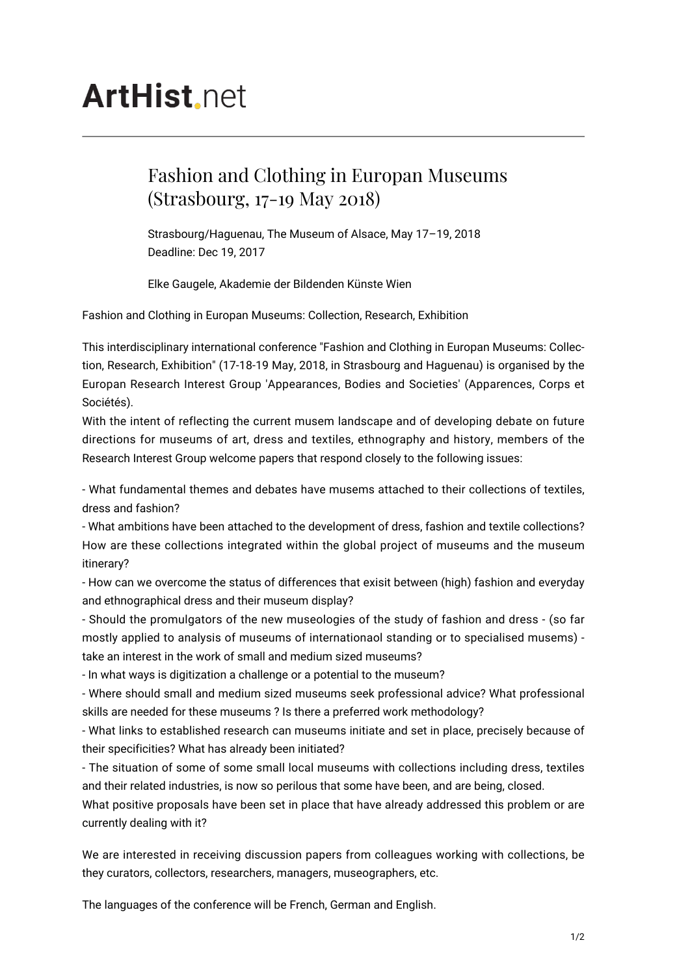# **ArtHist** net

## Fashion and Clothing in Europan Museums (Strasbourg, 17-19 May 2018)

Strasbourg/Haguenau, The Museum of Alsace, May 17–19, 2018 Deadline: Dec 19, 2017

Elke Gaugele, Akademie der Bildenden Künste Wien

Fashion and Clothing in Europan Museums: Collection, Research, Exhibition

This interdisciplinary international conference "Fashion and Clothing in Europan Museums: Collection, Research, Exhibition" (17-18-19 May, 2018, in Strasbourg and Haguenau) is organised by the Europan Research Interest Group 'Appearances, Bodies and Societies' (Apparences, Corps et Sociétés).

With the intent of reflecting the current musem landscape and of developing debate on future directions for museums of art, dress and textiles, ethnography and history, members of the Research Interest Group welcome papers that respond closely to the following issues:

- What fundamental themes and debates have musems attached to their collections of textiles, dress and fashion?

- What ambitions have been attached to the development of dress, fashion and textile collections? How are these collections integrated within the global project of museums and the museum itinerary?

- How can we overcome the status of differences that exisit between (high) fashion and everyday and ethnographical dress and their museum display?

- Should the promulgators of the new museologies of the study of fashion and dress - (so far mostly applied to analysis of museums of internationaol standing or to specialised musems) take an interest in the work of small and medium sized museums?

- In what ways is digitization a challenge or a potential to the museum?

- Where should small and medium sized museums seek professional advice? What professional skills are needed for these museums ? Is there a preferred work methodology?

- What links to established research can museums initiate and set in place, precisely because of their specificities? What has already been initiated?

- The situation of some of some small local museums with collections including dress, textiles and their related industries, is now so perilous that some have been, and are being, closed.

What positive proposals have been set in place that have already addressed this problem or are currently dealing with it?

We are interested in receiving discussion papers from colleagues working with collections, be they curators, collectors, researchers, managers, museographers, etc.

The languages of the conference will be French, German and English.